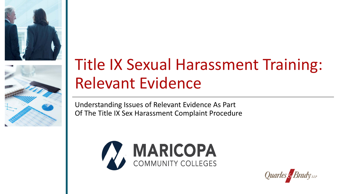



# Title IX Sexual Harassment Training: Relevant Evidence

Understanding Issues of Relevant Evidence As Part Of The Title IX Sex Harassment Complaint Procedure



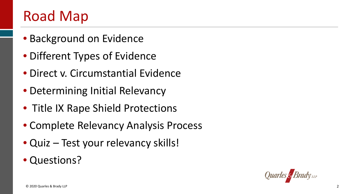#### Road Map

- Background on Evidence
- Different Types of Evidence
- Direct v. Circumstantial Evidence
- Determining Initial Relevancy
- Title IX Rape Shield Protections
- Complete Relevancy Analysis Process
- Quiz Test your relevancy skills!
- Questions?

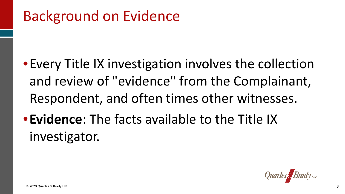- •Every Title IX investigation involves the collection and review of "evidence" from the Complainant, Respondent, and often times other witnesses.
- •**Evidence**: The facts available to the Title IX investigator.

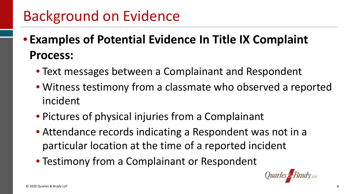## Background on Evidence

- **Examples of Potential Evidence In Title IX Complaint Process:** 
	- Text messages between a Complainant and Respondent
	- • Witness testimony from a classmate who observed a reported incident
	- Pictures of physical injuries from a Complainant
	- Attendance records indicating a Respondent was not in a particular location at the time of a reported incident
	- Testimony from a Complainant or Respondent

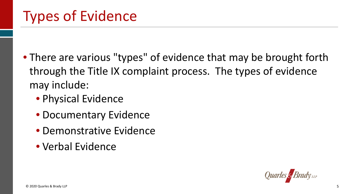- • There are various "types" of evidence that may be brought forth through the Title IX complaint process. The types of evidence may include:
	- Physical Evidence
	- Documentary Evidence
	- Demonstrative Evidence
	- Verbal Evidence

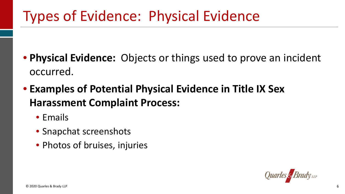# Types of Evidence: Physical Evidence

- **Physical Evidence:** Objects or things used to prove an incident occurred.
- **Examples of Potential Physical Evidence in Title IX Sex Harassment Complaint Process:** 
	- Emails
	- Snapchat screenshots
	- Photos of bruises, injuries

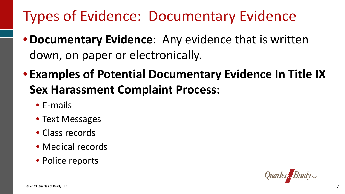# Types of Evidence: Documentary Evidence

- • **Documentary Evidence**: Any evidence that is written down, on paper or electronically.
- **Examples of Potential Documentary Evidence In Title IX Sex Harassment Complaint Process:** 
	- E-mails
	- Text Messages
	- Class records
	- Medical records
	- Police reports

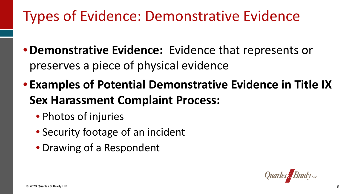## Types of Evidence: Demonstrative Evidence

- **Demonstrative Evidence:** Evidence that represents or preserves a piece of physical evidence
- **Examples of Potential Demonstrative Evidence in Title IX Sex Harassment Complaint Process:** 
	- Photos of injuries
	- Security footage of an incident
	- Drawing of a Respondent

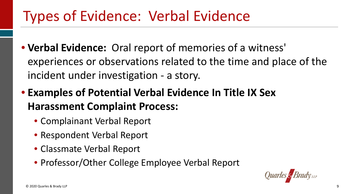## Types of Evidence: Verbal Evidence

- **Verbal Evidence:** Oral report of memories of a witness' experiences or observations related to the time and place of the incident under investigation - a story.
- **Examples of Potential Verbal Evidence In Title IX Sex Harassment Complaint Process:** 
	- Complainant Verbal Report
	- Respondent Verbal Report
	- Classmate Verbal Report
	- Professor/Other College Employee Verbal Report

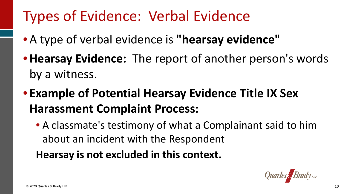#### Types of Evidence: Verbal Evidence

- A type of verbal evidence is **"hearsay evidence"**
- **Hearsay Evidence:** The report of another person's words by a witness.
- **Example of Potential Hearsay Evidence Title IX Sex Harassment Complaint Process:** 
	- • A classmate's testimony of what a Complainant said to him about an incident with the Respondent

 **Hearsay is not excluded in this context.** 

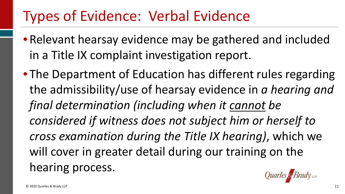#### Types of Evidence: Verbal Evidence

- • Relevant hearsay evidence may be gathered and included in a Title IX complaint investigation report.
- • The Department of Education has different rules regarding the admissibility/use of hearsay evidence in *a hearing and considered if witness does not subject him or herself to cross examination during the Title IX hearing)*, which we will cover in greater detail during our training on the *final determination (including when it cannot be*  hearing process.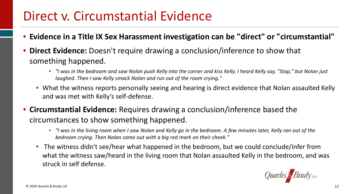#### Direct v. Circumstantial Evidence

- **Evidence in a Title IX Sex Harassment investigation can be "direct" or "circumstantial"**
- • **Direct Evidence:** Doesn't require drawing a conclusion/inference to show that something happened.
	- *"I was in the bedroom and saw Nolan push Kelly into the corner and kiss Kelly. I heard Kelly say, "Stop," but Nolan just laughed. Then I saw Kelly smack Nolan and run out of the room crying."*
	- • What the witness reports personally seeing and hearing is direct evidence that Nolan assaulted Kelly and was met with Kelly's self-defense.
- **Circumstantial Evidence:** Requires drawing a conclusion/inference based the circumstances to show something happened.
	- *"I was in the living room when I saw Nolan and Kelly go in the bedroom. A few minutes later, Kelly ran out of the bedroom crying. Then Nolan came out with a big red mark on their cheek."*
	- • The witness didn't see/hear what happened in the bedroom, but we could conclude/infer from what the witness saw/heard in the living room that Nolan assaulted Kelly in the bedroom, and was struck in self defense.

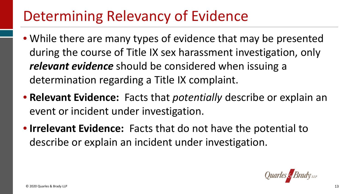- • While there are many types of evidence that may be presented during the course of Title IX sex harassment investigation, only *relevant evidence* should be considered when issuing a determination regarding a Title IX complaint.
- **Relevant Evidence:** Facts that *potentially* describe or explain an event or incident under investigation.
- **Irrelevant Evidence:** Facts that do not have the potential to describe or explain an incident under investigation.

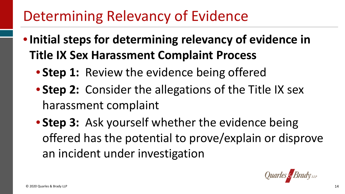- **Initial steps for determining relevancy of evidence in Title IX Sex Harassment Complaint Process** 
	- **Step 1:** Review the evidence being offered
	- **Step 2:** Consider the allegations of the Title IX sex harassment complaint
	- **Step 3: Ask yourself whether the evidence being**  offered has the potential to prove/explain or disprove an incident under investigation

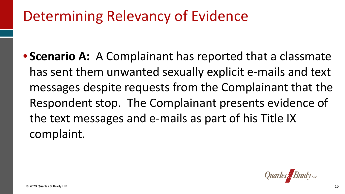• **Scenario A:** A Complainant has reported that a classmate has sent them unwanted sexually explicit e-mails and text messages despite requests from the Complainant that the Respondent stop. The Complainant presents evidence of the text messages and e-mails as part of his Title IX complaint.

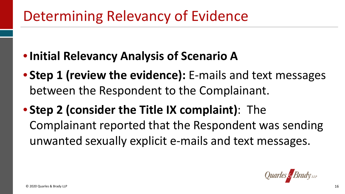- **Initial Relevancy Analysis of Scenario A**
- • **Step 1 (review the evidence):** E-mails and text messages between the Respondent to the Complainant.
- Complainant reported that the Respondent was sending unwanted sexually explicit e-mails and text messages. • **Step 2 (consider the Title IX complaint)**: The

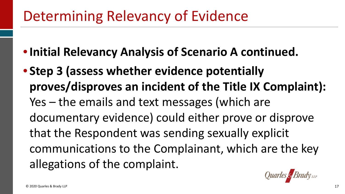- **Initial Relevancy Analysis of Scenario A continued.**
- **proves/disproves an incident of the Title IX Complaint):**  Yes – the emails and text messages (which are documentary evidence) could either prove or disprove that the Respondent was sending sexually explicit communications to the Complainant, which are the key • **Step 3 (assess whether evidence potentially**  allegations of the complaint.

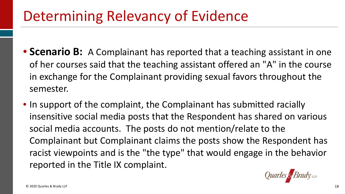- • **Scenario B:** A Complainant has reported that a teaching assistant in one of her courses said that the teaching assistant offered an "A" in the course in exchange for the Complainant providing sexual favors throughout the semester.
- • In support of the complaint, the Complainant has submitted racially insensitive social media posts that the Respondent has shared on various Complainant but Complainant claims the posts show the Respondent has racist viewpoints and is the "the type" that would engage in the behavior reported in the Title IX complaint. social media accounts. The posts do not mention/relate to the

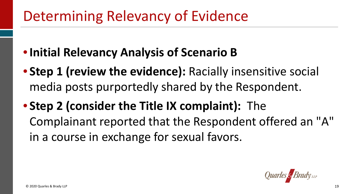- **Initial Relevancy Analysis of Scenario B**
- media posts purportedly shared by the Respondent. • **Step 1 (review the evidence):** Racially insensitive social
- Complainant reported that the Respondent offered an "A" • **Step 2 (consider the Title IX complaint):** The in a course in exchange for sexual favors.

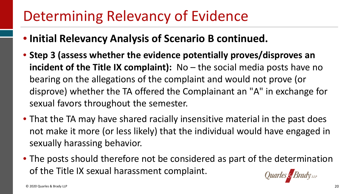- **Initial Relevancy Analysis of Scenario B continued.**
- **Step 3 (assess whether the evidence potentially proves/disproves an incident of the Title IX complaint):** No – the social media posts have no bearing on the allegations of the complaint and would not prove (or disprove) whether the TA offered the Complainant an "A" in exchange for sexual favors throughout the semester.
- • That the TA may have shared racially insensitive material in the past does not make it more (or less likely) that the individual would have engaged in sexually harassing behavior.
- • The posts should therefore not be considered as part of the determination of the Title IX sexual harassment complaint.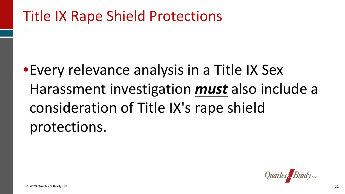# •Every relevance analysis in a Title IX Sex Harassment investigation *must* also include a consideration of Title IX's rape shield protections.

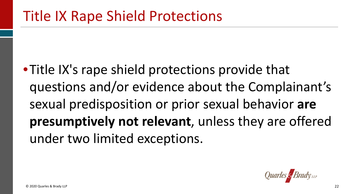•Title IX's rape shield protections provide that **presumptively not relevant**, unless they are offered questions and/or evidence about the Complainant's sexual predisposition or prior sexual behavior **are**  under two limited exceptions.

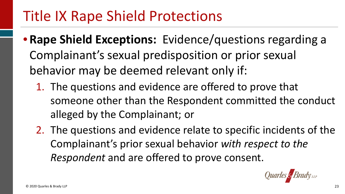- **Rape Shield Exceptions:** Evidence/questions regarding a behavior may be deemed relevant only if: Complainant's sexual predisposition or prior sexual
	- 1. The questions and evidence are offered to prove that someone other than the Respondent committed the conduct alleged by the Complainant; or
	- 2. The questions and evidence relate to specific incidents of the *Respondent* and are offered to prove consent. Complainant's prior sexual behavior *with respect to the*

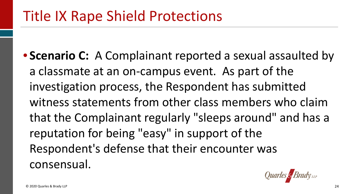• **Scenario C:** A Complainant reported a sexual assaulted by a classmate at an on-campus event. As part of the investigation process, the Respondent has submitted that the Complainant regularly "sleeps around" and has a reputation for being "easy" in support of the witness statements from other class members who claim Respondent's defense that their encounter was consensual.

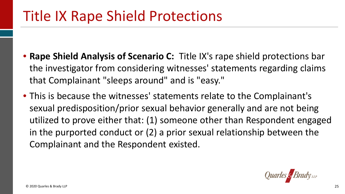- **Rape Shield Analysis of Scenario C:** Title IX's rape shield protections bar the investigator from considering witnesses' statements regarding claims that Complainant "sleeps around" and is "easy."
- sexual predisposition/prior sexual behavior generally and are not being in the purported conduct or (2) a prior sexual relationship between the Complainant and the Respondent existed. • This is because the witnesses' statements relate to the Complainant's utilized to prove either that: (1) someone other than Respondent engaged

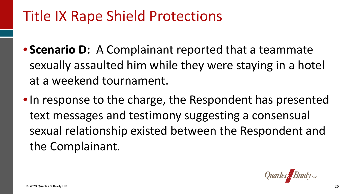- **Scenario D:** A Complainant reported that a teammate sexually assaulted him while they were staying in a hotel at a weekend tournament.
- • In response to the charge, the Respondent has presented text messages and testimony suggesting a consensual sexual relationship existed between the Respondent and the Complainant.

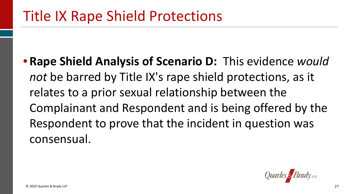*not* be barred by Title IX's rape shield protections, as it relates to a prior sexual relationship between the Complainant and Respondent and is being offered by the Respondent to prove that the incident in question was • **Rape Shield Analysis of Scenario D:** This evidence *would*  consensual.

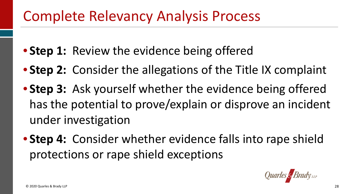- **Step 1:** Review the evidence being offered
- **Step 2:** Consider the allegations of the Title IX complaint
- **Step 3:** Ask yourself whether the evidence being offered has the potential to prove/explain or disprove an incident under investigation
- **Step 4:** Consider whether evidence falls into rape shield protections or rape shield exceptions

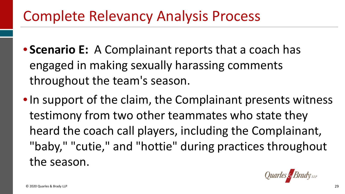- • **Scenario E:** A Complainant reports that a coach has throughout the team's season. engaged in making sexually harassing comments
- • In support of the claim, the Complainant presents witness testimony from two other teammates who state they "baby," "cutie," and "hottie" during practices throughout heard the coach call players, including the Complainant, the season.

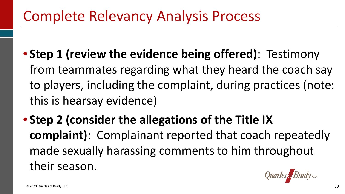- from teammates regarding what they heard the coach say to players, including the complaint, during practices (note: this is hearsay evidence) • **Step 1 (review the evidence being offered)**: Testimony
- **complaint)**: Complainant reported that coach repeatedly • **Step 2 (consider the allegations of the Title IX**  made sexually harassing comments to him throughout their season.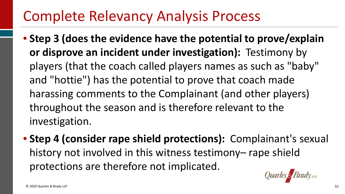- **or disprove an incident under investigation):** Testimony by and "hottie") has the potential to prove that coach made throughout the season and is therefore relevant to the • **Step 3 (does the evidence have the potential to prove/explain**  players (that the coach called players names as such as "baby" harassing comments to the Complainant (and other players) investigation.
- **Step 4 (consider rape shield protections):** Complainant's sexual protections are therefore not implicated. history not involved in this witness testimony- rape shield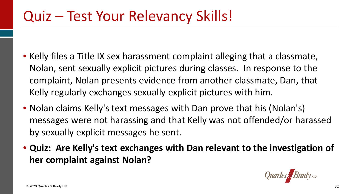- • Kelly files a Title IX sex harassment complaint alleging that a classmate, Nolan, sent sexually explicit pictures during classes. In response to the complaint, Nolan presents evidence from another classmate, Dan, that Kelly regularly exchanges sexually explicit pictures with him.
- • Nolan claims Kelly's text messages with Dan prove that his (Nolan's) messages were not harassing and that Kelly was not offended/or harassed by sexually explicit messages he sent.
- **Quiz: Are Kelly's text exchanges with Dan relevant to the investigation of her complaint against Nolan?**

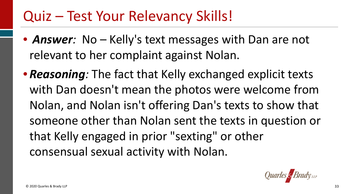- • *Answer:* No Kelly's text messages with Dan are not relevant to her complaint against Nolan.
- • *Reasoning:* The fact that Kelly exchanged explicit texts with Dan doesn't mean the photos were welcome from Nolan, and Nolan isn't offering Dan's texts to show that someone other than Nolan sent the texts in question or that Kelly engaged in prior "sexting" or other consensual sexual activity with Nolan.

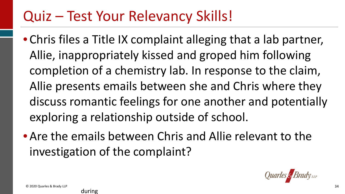- • Chris files a Title IX complaint alleging that a lab partner, Allie, inappropriately kissed and groped him following completion of a chemistry lab. In response to the claim, Allie presents emails between she and Chris where they discuss romantic feelings for one another and potentially exploring a relationship outside of school.
- • Are the emails between Chris and Allie relevant to the investigation of the complaint?

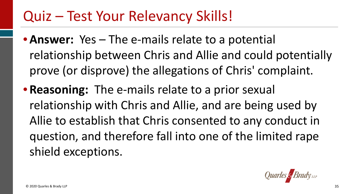- • **Answer:** Yes The e-mails relate to a potential relationship between Chris and Allie and could potentially prove (or disprove) the allegations of Chris' complaint.
- **Reasoning:** The e-mails relate to a prior sexual relationship with Chris and Allie, and are being used by Allie to establish that Chris consented to any conduct in question, and therefore fall into one of the limited rape shield exceptions.

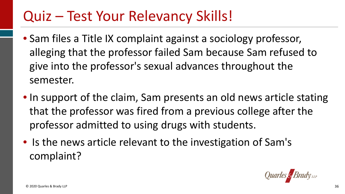- • Sam files a Title IX complaint against a sociology professor, alleging that the professor failed Sam because Sam refused to give into the professor's sexual advances throughout the semester.
- • In support of the claim, Sam presents an old news article stating that the professor was fired from a previous college after the professor admitted to using drugs with students.
- • Is the news article relevant to the investigation of Sam's complaint?

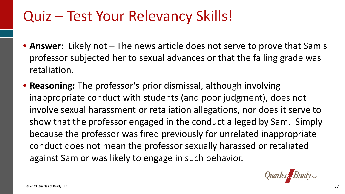- professor subjected her to sexual advances or that the failing grade was • **Answer**: Likely not – The news article does not serve to prove that Sam's retaliation.
- • **Reasoning:** The professor's prior dismissal, although involving inappropriate conduct with students (and poor judgment), does not involve sexual harassment or retaliation allegations, nor does it serve to show that the professor engaged in the conduct alleged by Sam. Simply because the professor was fired previously for unrelated inappropriate conduct does not mean the professor sexually harassed or retaliated against Sam or was likely to engage in such behavior.

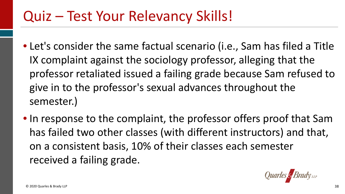- • Let's consider the same factual scenario (i.e., Sam has filed a Title IX complaint against the sociology professor, alleging that the give in to the professor's sexual advances throughout the professor retaliated issued a failing grade because Sam refused to semester.)
- • In response to the complaint, the professor offers proof that Sam has failed two other classes (with different instructors) and that, on a consistent basis, 10% of their classes each semester received a failing grade.

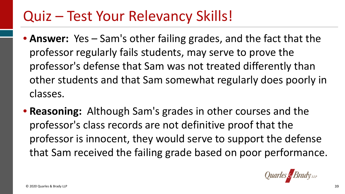- **Answer:** Yes Sam's other failing grades, and the fact that the professor regularly fails students, may serve to prove the professor's defense that Sam was not treated differently than other students and that Sam somewhat regularly does poorly in classes.
- **Reasoning:** Although Sam's grades in other courses and the professor is innocent, they would serve to support the defense that Sam received the failing grade based on poor performance. professor's class records are not definitive proof that the

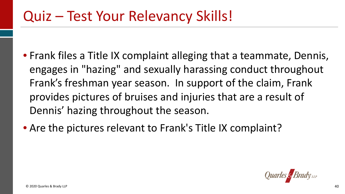- • Frank files a Title IX complaint alleging that a teammate, Dennis, engages in "hazing" and sexually harassing conduct throughout Frank's freshman year season. In support of the claim, Frank provides pictures of bruises and injuries that are a result of Dennis' hazing throughout the season.
- Are the pictures relevant to Frank's Title IX complaint?

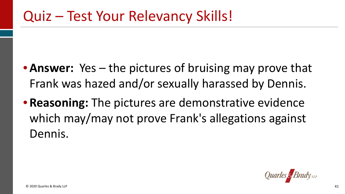- • **Answer:** Yes the pictures of bruising may prove that Frank was hazed and/or sexually harassed by Dennis.
- • **Reasoning:** The pictures are demonstrative evidence which may/may not prove Frank's allegations against Dennis.